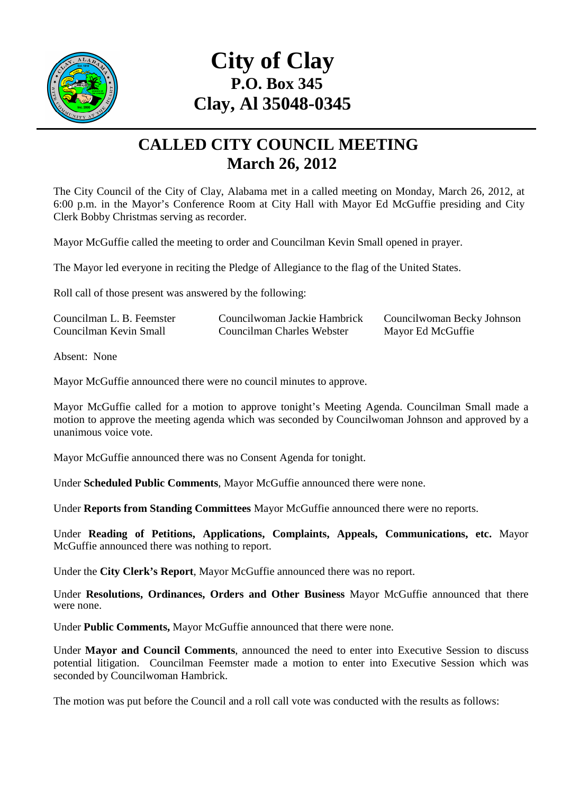

## **City of Clay P.O. Box 345 Clay, Al 35048-0345**

## **CALLED CITY COUNCIL MEETING March 26, 2012**

The City Council of the City of Clay, Alabama met in a called meeting on Monday, March 26, 2012, at 6:00 p.m. in the Mayor's Conference Room at City Hall with Mayor Ed McGuffie presiding and City Clerk Bobby Christmas serving as recorder.

Mayor McGuffie called the meeting to order and Councilman Kevin Small opened in prayer.

The Mayor led everyone in reciting the Pledge of Allegiance to the flag of the United States.

Roll call of those present was answered by the following:

| Councilman L. B. Feemster | Councilwoman Jackie Hambrick | Councilwoman Becky Johnson |
|---------------------------|------------------------------|----------------------------|
| Councilman Kevin Small    | Councilman Charles Webster   | Mayor Ed McGuffie          |

Absent: None

Mayor McGuffie announced there were no council minutes to approve.

Mayor McGuffie called for a motion to approve tonight's Meeting Agenda. Councilman Small made a motion to approve the meeting agenda which was seconded by Councilwoman Johnson and approved by a unanimous voice vote.

Mayor McGuffie announced there was no Consent Agenda for tonight.

Under **Scheduled Public Comments**, Mayor McGuffie announced there were none.

Under **Reports from Standing Committees** Mayor McGuffie announced there were no reports.

Under **Reading of Petitions, Applications, Complaints, Appeals, Communications, etc.** Mayor McGuffie announced there was nothing to report.

Under the **City Clerk's Report**, Mayor McGuffie announced there was no report.

Under **Resolutions, Ordinances, Orders and Other Business** Mayor McGuffie announced that there were none.

Under **Public Comments,** Mayor McGuffie announced that there were none.

Under **Mayor and Council Comments**, announced the need to enter into Executive Session to discuss potential litigation. Councilman Feemster made a motion to enter into Executive Session which was seconded by Councilwoman Hambrick.

The motion was put before the Council and a roll call vote was conducted with the results as follows: